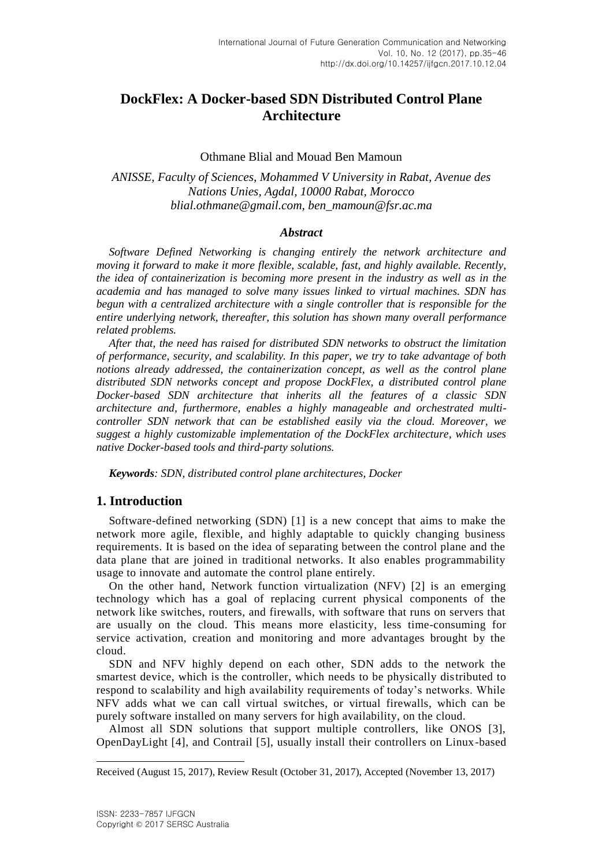# **DockFlex: A Docker-based SDN Distributed Control Plane Architecture**

## Othmane Blial and Mouad Ben Mamoun

## *ANISSE, Faculty of Sciences, Mohammed V University in Rabat, Avenue des Nations Unies, Agdal, 10000 Rabat, Morocco blial.othmane@gmail.com, ben\_mamoun@fsr.ac.ma*

## *Abstract*

*Software Defined Networking is changing entirely the network architecture and moving it forward to make it more flexible, scalable, fast, and highly available. Recently, the idea of containerization is becoming more present in the industry as well as in the academia and has managed to solve many issues linked to virtual machines. SDN has begun with a centralized architecture with a single controller that is responsible for the entire underlying network, thereafter, this solution has shown many overall performance related problems.*

*After that, the need has raised for distributed SDN networks to obstruct the limitation of performance, security, and scalability. In this paper, we try to take advantage of both notions already addressed, the containerization concept, as well as the control plane distributed SDN networks concept and propose DockFlex, a distributed control plane Docker-based SDN architecture that inherits all the features of a classic SDN architecture and, furthermore, enables a highly manageable and orchestrated multicontroller SDN network that can be established easily via the cloud. Moreover, we suggest a highly customizable implementation of the DockFlex architecture, which uses native Docker-based tools and third-party solutions.*

*Keywords: SDN, distributed control plane architectures, Docker*

## **1. Introduction**

Software-defined networking (SDN) [1] is a new concept that aims to make the network more agile, flexible, and highly adaptable to quickly changing business requirements. It is based on the idea of separating between the control plane and the data plane that are joined in traditional networks. It also enables programmability usage to innovate and automate the control plane entirely.

On the other hand, Network function virtualization (NFV) [2] is an emerging technology which has a goal of replacing current physical components of the network like switches, routers, and firewalls, with software that runs on servers that are usually on the cloud. This means more elasticity, less time-consuming for service activation, creation and monitoring and more advantages brought by the cloud.

SDN and NFV highly depend on each other, SDN adds to the network the smartest device, which is the controller, which needs to be physically distributed to respond to scalability and high availability requirements of today's networks. While NFV adds what we can call virtual switches, or virtual firewalls, which can be purely software installed on many servers for high availability, on the cloud.

Almost all SDN solutions that support multiple controllers, like ONOS [3], OpenDayLight [4], and Contrail [5], usually install their controllers on Linux-based

l

Received (August 15, 2017), Review Result (October 31, 2017), Accepted (November 13, 2017)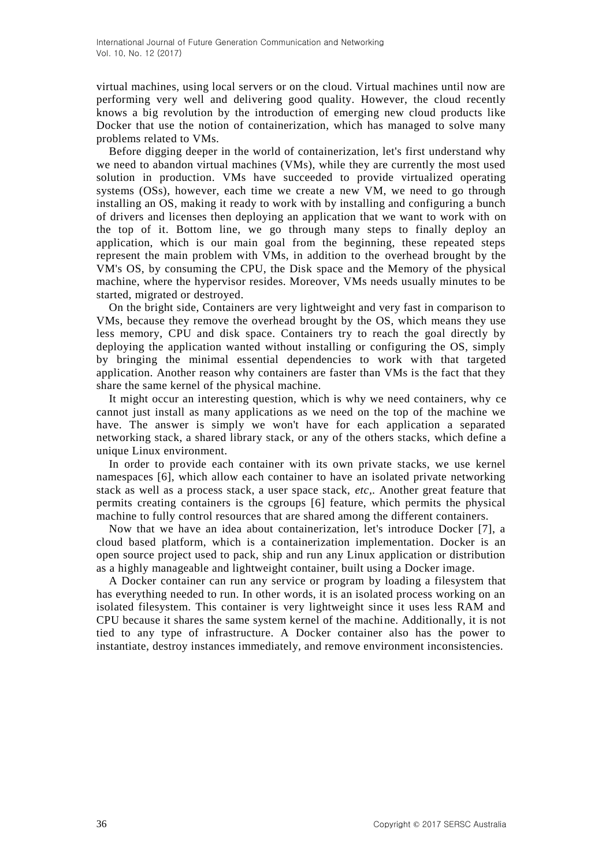virtual machines, using local servers or on the cloud. Virtual machines until now are performing very well and delivering good quality. However, the cloud recently knows a big revolution by the introduction of emerging new cloud products like Docker that use the notion of containerization, which has managed to solve many problems related to VMs.

Before digging deeper in the world of containerization, let's first understand why we need to abandon virtual machines (VMs), while they are currently the most used solution in production. VMs have succeeded to provide virtualized operating systems (OSs), however, each time we create a new VM, we need to go through installing an OS, making it ready to work with by installing and configuring a bunch of drivers and licenses then deploying an application that we want to work with on the top of it. Bottom line, we go through many steps to finally deploy an application, which is our main goal from the beginning, these repeated steps represent the main problem with VMs, in addition to the overhead brought by the VM's OS, by consuming the CPU, the Disk space and the Memory of the physical machine, where the hypervisor resides. Moreover, VMs needs usually minutes to be started, migrated or destroyed.

On the bright side, Containers are very lightweight and very fast in comparison to VMs, because they remove the overhead brought by the OS, which means they use less memory, CPU and disk space. Containers try to reach the goal directly by deploying the application wanted without installing or configuring the OS, simply by bringing the minimal essential dependencies to work with that targeted application. Another reason why containers are faster than VMs is the fact that they share the same kernel of the physical machine.

It might occur an interesting question, which is why we need containers, why ce cannot just install as many applications as we need on the top of the machine we have. The answer is simply we won't have for each application a separated networking stack, a shared library stack, or any of the others stacks, which define a unique Linux environment.

In order to provide each container with its own private stacks, we use kernel namespaces [6], which allow each container to have an isolated private networking stack as well as a process stack, a user space stack, *etc,.* Another great feature that permits creating containers is the cgroups [6] feature, which permits the physical machine to fully control resources that are shared among the different containers.

Now that we have an idea about containerization, let's introduce Docker [7], a cloud based platform, which is a containerization implementation. Docker is an open source project used to pack, ship and run any Linux application or distribution as a highly manageable and lightweight container, built using a Docker image.

A Docker container can run any service or program by loading a filesystem that has everything needed to run. In other words, it is an isolated process working on an isolated filesystem. This container is very lightweight since it uses less RAM and CPU because it shares the same system kernel of the machine. Additionally, it is not tied to any type of infrastructure. A Docker container also has the power to instantiate, destroy instances immediately, and remove environment inconsistencies.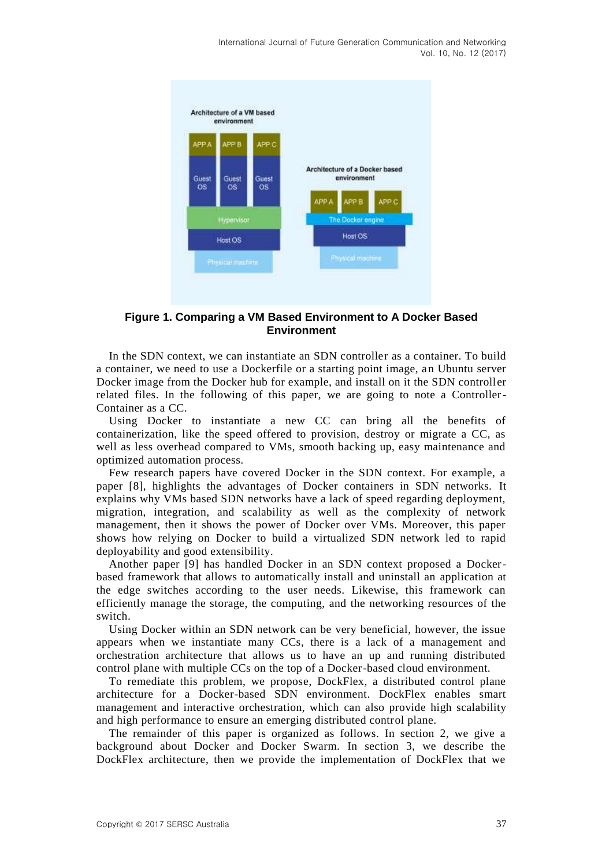

## **Figure 1. Comparing a VM Based Environment to A Docker Based Environment**

In the SDN context, we can instantiate an SDN controller as a container. To build a container, we need to use a Dockerfile or a starting point image, an Ubuntu server Docker image from the Docker hub for example, and install on it the SDN controll er related files. In the following of this paper, we are going to note a Controller-Container as a CC.

Using Docker to instantiate a new CC can bring all the benefits of containerization, like the speed offered to provision, destroy or migrate a CC, as well as less overhead compared to VMs, smooth backing up, easy maintenance and optimized automation process.

Few research papers have covered Docker in the SDN context. For example, a paper [8], highlights the advantages of Docker containers in SDN networks. It explains why VMs based SDN networks have a lack of speed regarding deployment, migration, integration, and scalability as well as the complexity of network management, then it shows the power of Docker over VMs. Moreover, this paper shows how relying on Docker to build a virtualized SDN network led to rapid deployability and good extensibility.

Another paper [9] has handled Docker in an SDN context proposed a Dockerbased framework that allows to automatically install and uninstall an application at the edge switches according to the user needs. Likewise, this framework can efficiently manage the storage, the computing, and the networking resources of the switch.

Using Docker within an SDN network can be very beneficial, however, the issue appears when we instantiate many CCs, there is a lack of a management and orchestration architecture that allows us to have an up and running distributed control plane with multiple CCs on the top of a Docker-based cloud environment.

To remediate this problem, we propose, DockFlex, a distributed control plane architecture for a Docker-based SDN environment. DockFlex enables smart management and interactive orchestration, which can also provide high scalability and high performance to ensure an emerging distributed control plane.

The remainder of this paper is organized as follows. In section 2, we give a background about Docker and Docker Swarm. In section 3, we describe the DockFlex architecture, then we provide the implementation of DockFlex that we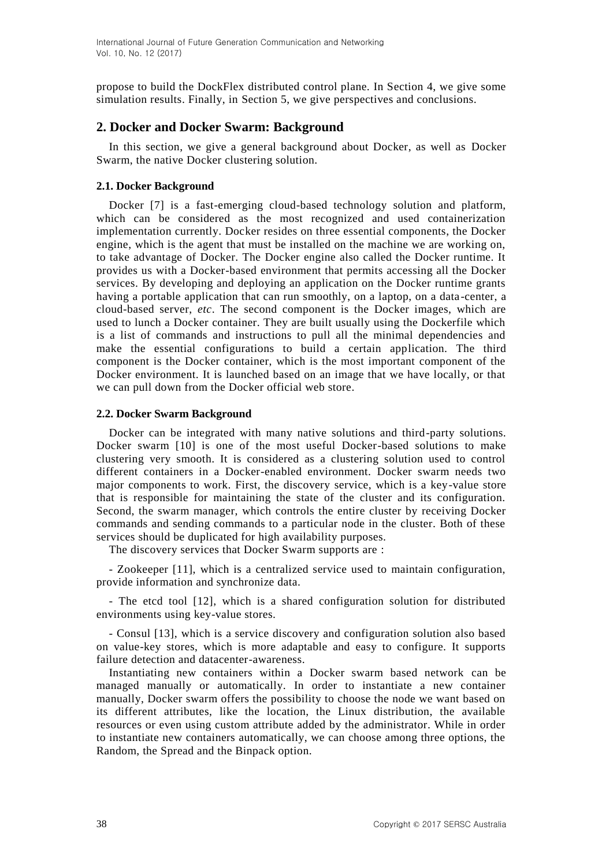propose to build the DockFlex distributed control plane. In Section 4, we give some simulation results. Finally, in Section 5, we give perspectives and conclusions.

## **2. Docker and Docker Swarm: Background**

In this section, we give a general background about Docker, as well as Docker Swarm, the native Docker clustering solution.

## **2.1. Docker Background**

Docker [7] is a fast-emerging cloud-based technology solution and platform, which can be considered as the most recognized and used containerization implementation currently. Docker resides on three essential components, the Docker engine, which is the agent that must be installed on the machine we are working on, to take advantage of Docker. The Docker engine also called the Docker runtime. It provides us with a Docker-based environment that permits accessing all the Docker services. By developing and deploying an application on the Docker runtime grants having a portable application that can run smoothly, on a laptop, on a data -center, a cloud-based server, *etc*. The second component is the Docker images, which are used to lunch a Docker container. They are built usually using the Dockerfile which is a list of commands and instructions to pull all the minimal dependencies and make the essential configurations to build a certain application. The third component is the Docker container, which is the most important component of the Docker environment. It is launched based on an image that we have locally, or that we can pull down from the Docker official web store.

## **2.2. Docker Swarm Background**

Docker can be integrated with many native solutions and third-party solutions. Docker swarm [10] is one of the most useful Docker-based solutions to make clustering very smooth. It is considered as a clustering solution used to control different containers in a Docker-enabled environment. Docker swarm needs two major components to work. First, the discovery service, which is a key-value store that is responsible for maintaining the state of the cluster and its configuration. Second, the swarm manager, which controls the entire cluster by receiving Docker commands and sending commands to a particular node in the cluster. Both of these services should be duplicated for high availability purposes.

The discovery services that Docker Swarm supports are :

- Zookeeper [11], which is a centralized service used to maintain configuration, provide information and synchronize data.

- The etcd tool [12], which is a shared configuration solution for distributed environments using key-value stores.

- Consul [13], which is a service discovery and configuration solution also based on value-key stores, which is more adaptable and easy to configure. It supports failure detection and datacenter-awareness.

Instantiating new containers within a Docker swarm based network can be managed manually or automatically. In order to instantiate a new container manually, Docker swarm offers the possibility to choose the node we want based on its different attributes, like the location, the Linux distribution, the available resources or even using custom attribute added by the administrator. While in order to instantiate new containers automatically, we can choose among three options, the Random, the Spread and the Binpack option.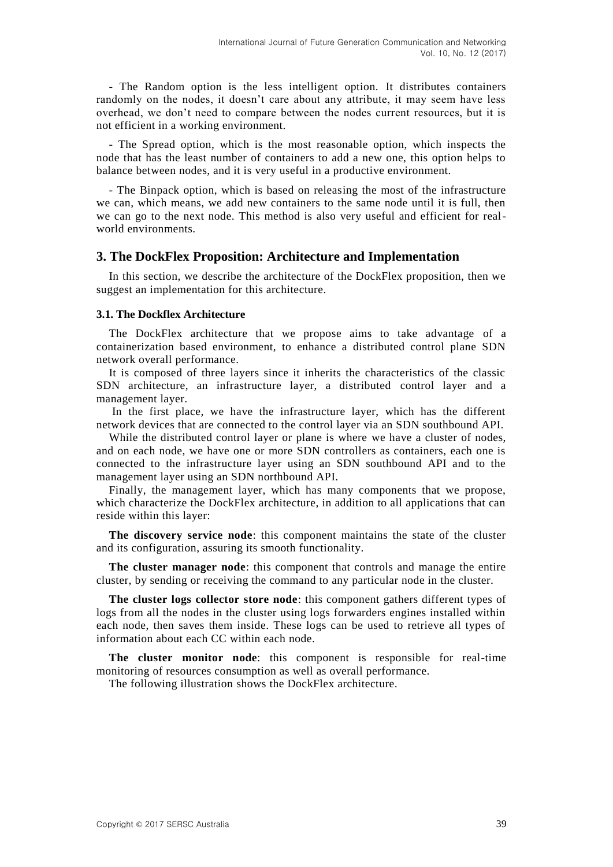- The Random option is the less intelligent option. It distributes containers randomly on the nodes, it doesn't care about any attribute, it may seem have less overhead, we don't need to compare between the nodes current resources, but it is not efficient in a working environment.

- The Spread option, which is the most reasonable option, which inspects the node that has the least number of containers to add a new one, this option helps to balance between nodes, and it is very useful in a productive environment.

- The Binpack option, which is based on releasing the most of the infrastructure we can, which means, we add new containers to the same node until it is full, then we can go to the next node. This method is also very useful and efficient for realworld environments.

#### **3. The DockFlex Proposition: Architecture and Implementation**

In this section, we describe the architecture of the DockFlex proposition, then we suggest an implementation for this architecture.

#### **3.1. The Dockflex Architecture**

The DockFlex architecture that we propose aims to take advantage of a containerization based environment, to enhance a distributed control plane SDN network overall performance.

It is composed of three layers since it inherits the characteristics of the classic SDN architecture, an infrastructure layer, a distributed control layer and a management layer.

In the first place, we have the infrastructure layer, which has the different network devices that are connected to the control layer via an SDN southbound API.

While the distributed control layer or plane is where we have a cluster of nodes, and on each node, we have one or more SDN controllers as containers, each one is connected to the infrastructure layer using an SDN southbound API and to the management layer using an SDN northbound API.

Finally, the management layer, which has many components that we propose, which characterize the DockFlex architecture, in addition to all applications that can reside within this layer:

**The discovery service node**: this component maintains the state of the cluster and its configuration, assuring its smooth functionality.

**The cluster manager node**: this component that controls and manage the entire cluster, by sending or receiving the command to any particular node in the cluster.

**The cluster logs collector store node**: this component gathers different types of logs from all the nodes in the cluster using logs forwarders engines installed within each node, then saves them inside. These logs can be used to retrieve all types of information about each CC within each node.

**The cluster monitor node**: this component is responsible for real-time monitoring of resources consumption as well as overall performance.

The following illustration shows the DockFlex architecture.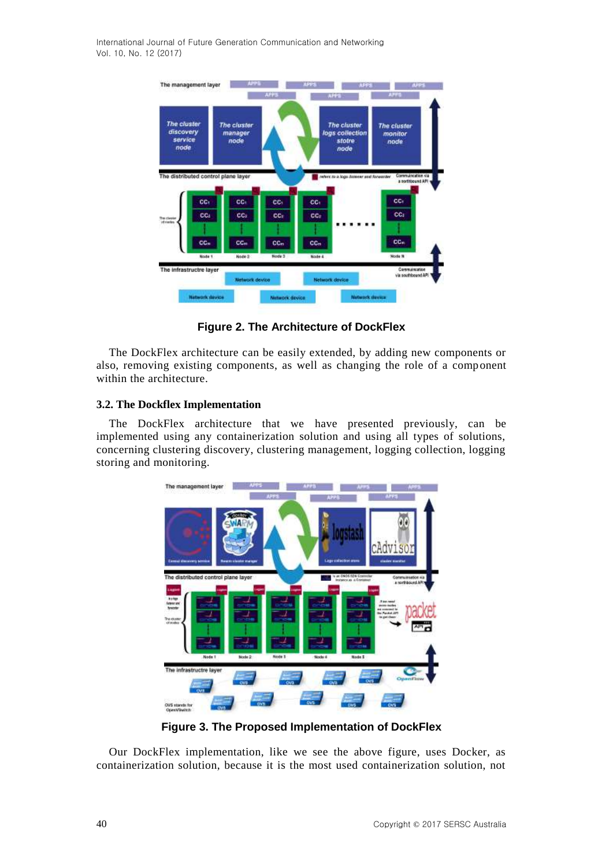International Journal of Future Generation Communication and Networking Vol. 10, No. 12 (2017)



**Figure 2. The Architecture of DockFlex**

The DockFlex architecture can be easily extended, by adding new components or also, removing existing components, as well as changing the role of a component within the architecture.

## **3.2. The Dockflex Implementation**

The DockFlex architecture that we have presented previously, can be implemented using any containerization solution and using all types of solutions, concerning clustering discovery, clustering management, logging collection, logging storing and monitoring.



**Figure 3. The Proposed Implementation of DockFlex**

Our DockFlex implementation, like we see the above figure, uses Docker, as containerization solution, because it is the most used containerization solution, not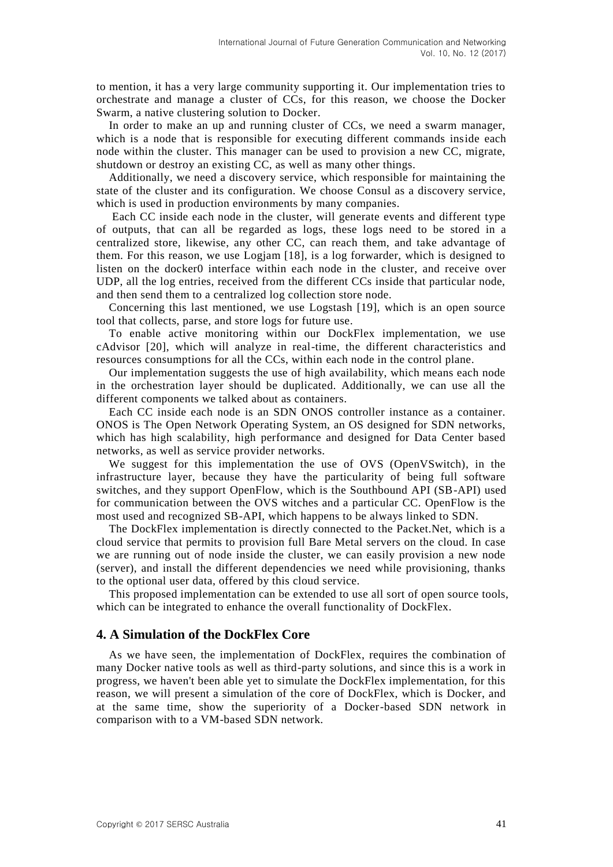to mention, it has a very large community supporting it. Our implementation tries to orchestrate and manage a cluster of CCs, for this reason, we choose the Docker Swarm, a native clustering solution to Docker.

In order to make an up and running cluster of CCs, we need a swarm manager, which is a node that is responsible for executing different commands inside each node within the cluster. This manager can be used to provision a new CC, migrate, shutdown or destroy an existing CC, as well as many other things.

Additionally, we need a discovery service, which responsible for maintaining the state of the cluster and its configuration. We choose Consul as a discovery service, which is used in production environments by many companies.

Each CC inside each node in the cluster, will generate events and different type of outputs, that can all be regarded as logs, these logs need to be stored in a centralized store, likewise, any other CC, can reach them, and take advantage of them. For this reason, we use Logjam [18], is a log forwarder, which is designed to listen on the docker0 interface within each node in the cluster, and receive over UDP, all the log entries, received from the different CCs inside that particular node, and then send them to a centralized log collection store node.

Concerning this last mentioned, we use Logstash [19], which is an open source tool that collects, parse, and store logs for future use.

To enable active monitoring within our DockFlex implementation, we use cAdvisor [20], which will analyze in real-time, the different characteristics and resources consumptions for all the CCs, within each node in the control plane.

Our implementation suggests the use of high availability, which means each node in the orchestration layer should be duplicated. Additionally, we can use all the different components we talked about as containers.

Each CC inside each node is an SDN ONOS controller instance as a container. ONOS is The Open Network Operating System, an OS designed for SDN networks, which has high scalability, high performance and designed for Data Center based networks, as well as service provider networks.

We suggest for this implementation the use of OVS (OpenVSwitch), in the infrastructure layer, because they have the particularity of being full software switches, and they support OpenFlow, which is the Southbound API (SB-API) used for communication between the OVS witches and a particular CC. OpenFlow is the most used and recognized SB-API, which happens to be always linked to SDN.

The DockFlex implementation is directly connected to the Packet.Net, which is a cloud service that permits to provision full Bare Metal servers on the cloud. In case we are running out of node inside the cluster, we can easily provision a new node (server), and install the different dependencies we need while provisioning, thanks to the optional user data, offered by this cloud service.

This proposed implementation can be extended to use all sort of open source tools, which can be integrated to enhance the overall functionality of DockFlex.

## **4. A Simulation of the DockFlex Core**

As we have seen, the implementation of DockFlex, requires the combination of many Docker native tools as well as third-party solutions, and since this is a work in progress, we haven't been able yet to simulate the DockFlex implementation, for this reason, we will present a simulation of the core of DockFlex, which is Docker, and at the same time, show the superiority of a Docker-based SDN network in comparison with to a VM-based SDN network.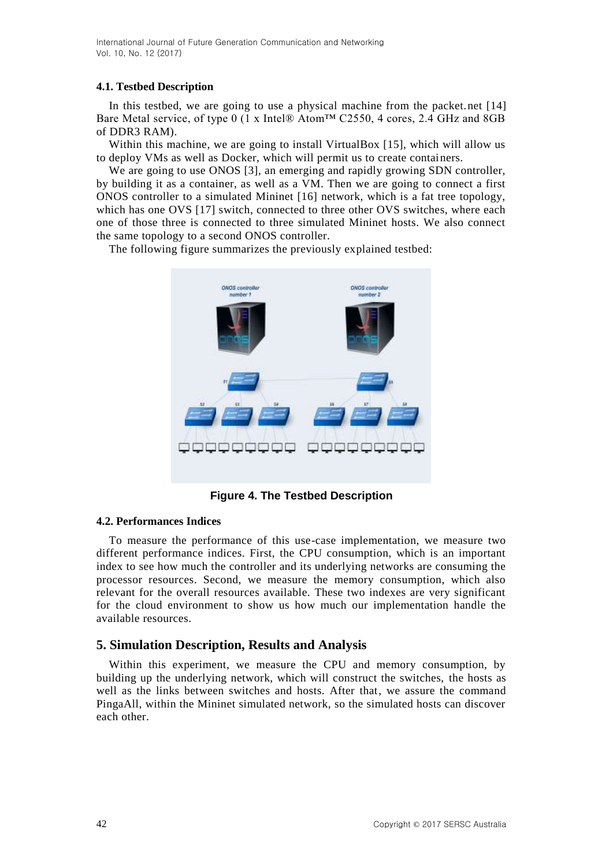International Journal of Future Generation Communication and Networking Vol. 10, No. 12 (2017)

### **4.1. Testbed Description**

In this testbed, we are going to use a physical machine from the packet.net [14] Bare Metal service, of type 0 (1 x Intel® Atom™ C2550, 4 cores, 2.4 GHz and 8GB of DDR3 RAM).

Within this machine, we are going to install VirtualBox [15], which will allow us to deploy VMs as well as Docker, which will permit us to create containers.

We are going to use ONOS [3], an emerging and rapidly growing SDN controller, by building it as a container, as well as a VM. Then we are going to connect a first ONOS controller to a simulated Mininet [16] network, which is a fat tree topology, which has one OVS [17] switch, connected to three other OVS switches, where each one of those three is connected to three simulated Mininet hosts. We also connect the same topology to a second ONOS controller.

The following figure summarizes the previously explained testbed:



**Figure 4. The Testbed Description**

## **4.2. Performances Indices**

To measure the performance of this use-case implementation, we measure two different performance indices. First, the CPU consumption, which is an important index to see how much the controller and its underlying networks are consuming the processor resources. Second, we measure the memory consumption, which also relevant for the overall resources available. These two indexes are very significant for the cloud environment to show us how much our implementation handle the available resources.

## **5. Simulation Description, Results and Analysis**

Within this experiment, we measure the CPU and memory consumption, by building up the underlying network, which will construct the switches, the hosts as well as the links between switches and hosts. After that, we assure the command PingaAll, within the Mininet simulated network, so the simulated hosts can discover each other.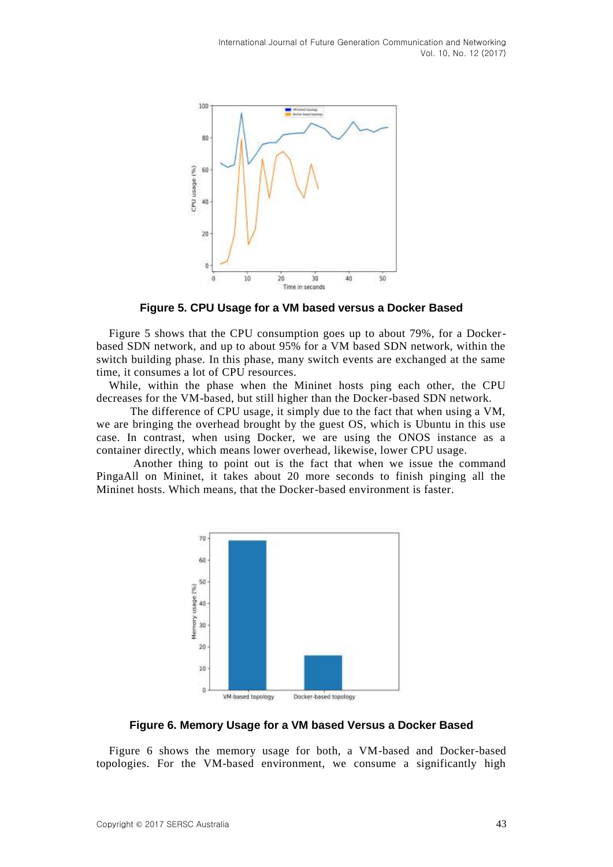

**Figure 5. CPU Usage for a VM based versus a Docker Based** 

Figure 5 shows that the CPU consumption goes up to about 79%, for a Dockerbased SDN network, and up to about 95% for a VM based SDN network, within the switch building phase. In this phase, many switch events are exchanged at the same time, it consumes a lot of CPU resources.

While, within the phase when the Mininet hosts ping each other, the CPU decreases for the VM-based, but still higher than the Docker-based SDN network.

The difference of CPU usage, it simply due to the fact that when using a VM, we are bringing the overhead brought by the guest OS, which is Ubuntu in this use case. In contrast, when using Docker, we are using the ONOS instance as a container directly, which means lower overhead, likewise, lower CPU usage.

Another thing to point out is the fact that when we issue the command PingaAll on Mininet, it takes about 20 more seconds to finish pinging all the Mininet hosts. Which means, that the Docker-based environment is faster.



**Figure 6. Memory Usage for a VM based Versus a Docker Based**

Figure 6 shows the memory usage for both, a VM-based and Docker-based topologies. For the VM-based environment, we consume a significantly high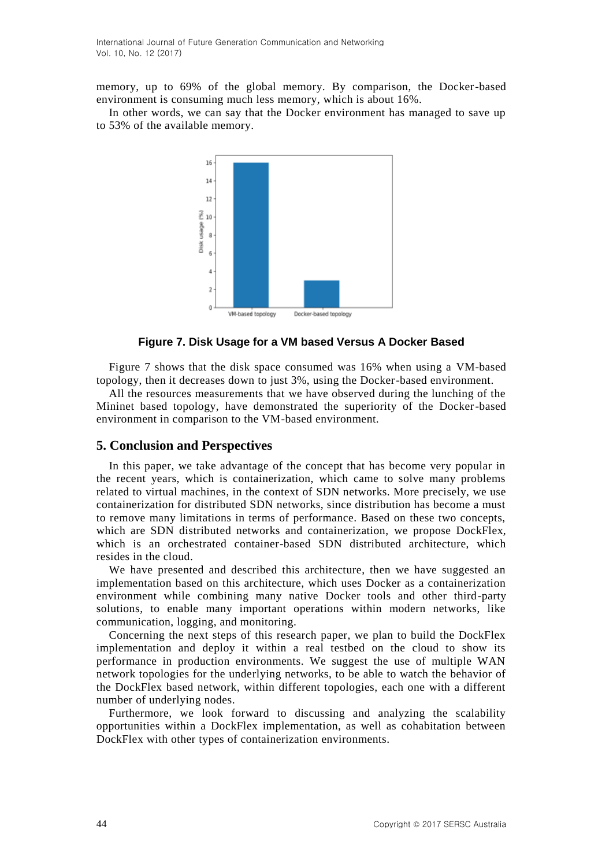memory, up to 69% of the global memory. By comparison, the Docker-based environment is consuming much less memory, which is about 16%.

In other words, we can say that the Docker environment has managed to save up to 53% of the available memory.



#### **Figure 7. Disk Usage for a VM based Versus A Docker Based**

Figure 7 shows that the disk space consumed was 16% when using a VM-based topology, then it decreases down to just 3%, using the Docker-based environment.

All the resources measurements that we have observed during the lunching of the Mininet based topology, have demonstrated the superiority of the Docker-based environment in comparison to the VM-based environment.

## **5. Conclusion and Perspectives**

In this paper, we take advantage of the concept that has become very popular in the recent years, which is containerization, which came to solve many problems related to virtual machines, in the context of SDN networks. More precisely, we use containerization for distributed SDN networks, since distribution has become a must to remove many limitations in terms of performance. Based on these two concepts, which are SDN distributed networks and containerization, we propose DockFlex, which is an orchestrated container-based SDN distributed architecture, which resides in the cloud.

We have presented and described this architecture, then we have suggested an implementation based on this architecture, which uses Docker as a containerization environment while combining many native Docker tools and other third-party solutions, to enable many important operations within modern networks, like communication, logging, and monitoring.

Concerning the next steps of this research paper, we plan to build the DockFlex implementation and deploy it within a real testbed on the cloud to show its performance in production environments. We suggest the use of multiple WAN network topologies for the underlying networks, to be able to watch the behavior of the DockFlex based network, within different topologies, each one with a different number of underlying nodes.

Furthermore, we look forward to discussing and analyzing the scalability opportunities within a DockFlex implementation, as well as cohabitation between DockFlex with other types of containerization environments.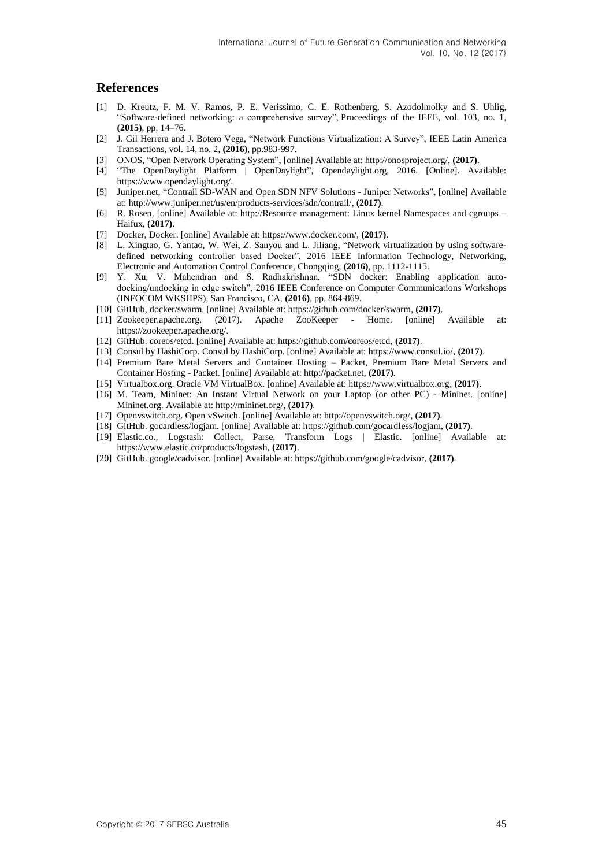## **References**

- [1] D. Kreutz, F. M. V. Ramos, P. E. Verissimo, C. E. Rothenberg, S. Azodolmolky and S. Uhlig, "Software-defined networking: a comprehensive survey", Proceedings of the IEEE, vol. 103, no. 1, **(2015)**, pp. 14–76.
- [2] J. Gil Herrera and J. Botero Vega, "Network Functions Virtualization: A Survey", IEEE Latin America Transactions, vol. 14, no. 2, **(2016)**, pp.983-997.
- [3] ONOS, "Open Network Operating System", [online] Available at: http://onosproject.org/, **(2017)**.
- [4] "The OpenDaylight Platform | OpenDaylight", Opendaylight.org, 2016. [Online]. Available: https://www.opendaylight.org/.
- [5] Juniper.net, "Contrail SD-WAN and Open SDN NFV Solutions Juniper Networks", [online] Available at: http://www.juniper.net/us/en/products-services/sdn/contrail/, **(2017)**.
- [6] R. Rosen, [online] Available at: http://Resource management: Linux kernel Namespaces and cgroups Haifux, **(2017)**.
- [7] Docker, Docker. [online] Available at: [https://www.docker.com/,](https://www.docker.com/) **(2017)**.
- [8] L. Xingtao, G. Yantao, W. Wei, Z. Sanyou and L. Jiliang, "Network virtualization by using softwaredefined networking controller based Docker", 2016 IEEE Information Technology, Networking, Electronic and Automation Control Conference, Chongqing, **(2016)**, pp. 1112-1115.
- [9] Y. Xu, V. Mahendran and S. Radhakrishnan, "SDN docker: Enabling application autodocking/undocking in edge switch", 2016 IEEE Conference on Computer Communications Workshops (INFOCOM WKSHPS), San Francisco, CA, **(2016)**, pp. 864-869.
- [10] GitHub, docker/swarm. [online] Available at: https://github.com/docker/swarm, **(2017)**.
- [11] Zookeeper.apache.org. (2017). Apache ZooKeeper Home. [online] Available at: https://zookeeper.apache.org/.
- [12] GitHub. coreos/etcd. [online] Available at: https://github.com/coreos/etcd, **(2017)**.
- [13] Consul by HashiCorp. Consul by HashiCorp. [online] Available at: https://www.consul.io/, **(2017)**.
- [14] Premium Bare Metal Servers and Container Hosting Packet, Premium Bare Metal Servers and Container Hosting - Packet. [online] Available at: http://packet.net, **(2017)**.
- [15] Virtualbox.org. Oracle VM VirtualBox. [online] Available at: https://www.virtualbox.org, **(2017)**.
- [16] M. Team, Mininet: An Instant Virtual Network on your Laptop (or other PC) Mininet. [online] Mininet.org. Available at: http://mininet.org/, **(2017)**.
- [17] Openvswitch.org. Open vSwitch. [online] Available at: http://openvswitch.org/, **(2017)**.
- [18] GitHub. gocardless/logjam. [online] Available at: https://github.com/gocardless/logjam, **(2017)**.
- [19] Elastic.co., Logstash: Collect, Parse, Transform Logs | Elastic. [online] Available at: https://www.elastic.co/products/logstash, **(2017)**.
- [20] GitHub. google/cadvisor. [online] Available at: https://github.com/google/cadvisor, **(2017)**.